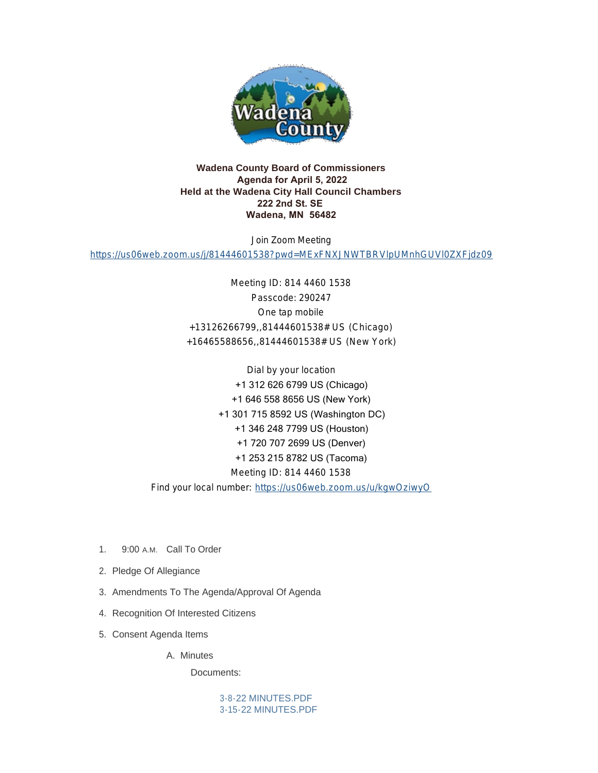

## **Wadena County Board of Commissioners Agenda for April 5, 2022 Held at the Wadena City Hall Council Chambers 222 2nd St. SE Wadena, MN 56482**

Join Zoom Meeting

<https://us06web.zoom.us/j/81444601538?pwd=MExFNXJNWTBRVlpUMnhGUVl0ZXFjdz09>

Meeting ID: 814 4460 1538 Passcode: 290247 One tap mobile +13126266799,,81444601538# US (Chicago) +16465588656,,81444601538# US (New York)

Dial by your location +1 312 626 6799 US (Chicago) +1 646 558 8656 US (New York) +1 301 715 8592 US (Washington DC) +1 346 248 7799 US (Houston) +1 720 707 2699 US (Denver) +1 253 215 8782 US (Tacoma) Meeting ID: 814 4460 1538 Find your local number: <https://us06web.zoom.us/u/kgwOziwyO>

- 1. 9:00 A.M. Call To Order
- 2. Pledge Of Allegiance
- 3. Amendments To The Agenda/Approval Of Agenda
- 4. Recognition Of Interested Citizens
- 5. Consent Agenda Items

A. Minutes

Documents:

[3-8-22 MINUTES.PDF](http://mn-wadenacounty.civicplus.com/AgendaCenter/ViewFile/Item/4816?fileID=7202) [3-15-22 MINUTES.PDF](http://mn-wadenacounty.civicplus.com/AgendaCenter/ViewFile/Item/4816?fileID=7203)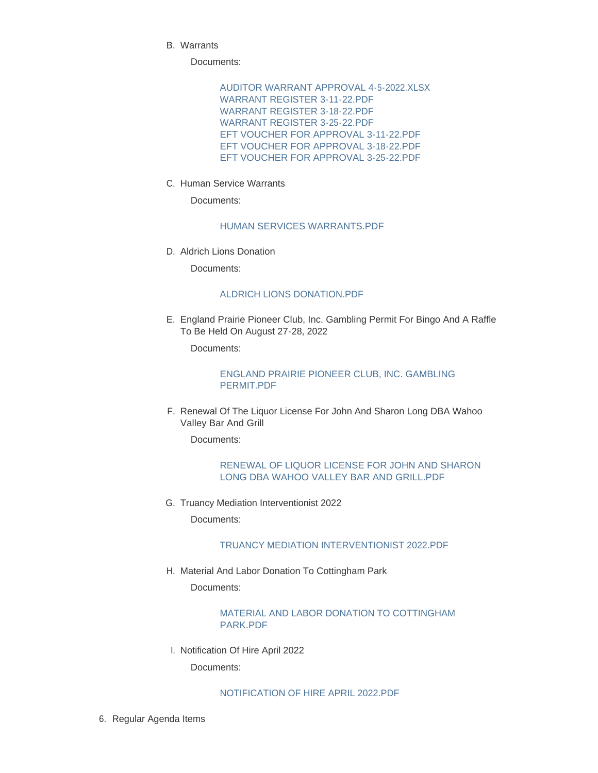Warrants B.

Documents:

[AUDITOR WARRANT APPROVAL 4-5-2022.XLSX](http://mn-wadenacounty.civicplus.com/AgendaCenter/ViewFile/Item/4931?fileID=7195) WARRANT REGISTER 3-11-22 PDF [WARRANT REGISTER 3-18-22.PDF](http://mn-wadenacounty.civicplus.com/AgendaCenter/ViewFile/Item/4931?fileID=7197) [WARRANT REGISTER 3-25-22.PDF](http://mn-wadenacounty.civicplus.com/AgendaCenter/ViewFile/Item/4931?fileID=7198) [EFT VOUCHER FOR APPROVAL 3-11-22.PDF](http://mn-wadenacounty.civicplus.com/AgendaCenter/ViewFile/Item/4931?fileID=7199) [EFT VOUCHER FOR APPROVAL 3-18-22.PDF](http://mn-wadenacounty.civicplus.com/AgendaCenter/ViewFile/Item/4931?fileID=7200) [EFT VOUCHER FOR APPROVAL 3-25-22.PDF](http://mn-wadenacounty.civicplus.com/AgendaCenter/ViewFile/Item/4931?fileID=7201)

C. Human Service Warrants

Documents:

#### [HUMAN SERVICES WARRANTS.PDF](http://mn-wadenacounty.civicplus.com/AgendaCenter/ViewFile/Item/4927?fileID=7191)

D. Aldrich Lions Donation

Documents:

#### [ALDRICH LIONS DONATION.PDF](http://mn-wadenacounty.civicplus.com/AgendaCenter/ViewFile/Item/4837?fileID=7167)

E. England Prairie Pioneer Club, Inc. Gambling Permit For Bingo And A Raffle To Be Held On August 27-28, 2022

Documents:

[ENGLAND PRAIRIE PIONEER CLUB, INC. GAMBLING](http://mn-wadenacounty.civicplus.com/AgendaCenter/ViewFile/Item/4836?fileID=7166)  PERMIT.PDF

F. Renewal Of The Liquor License For John And Sharon Long DBA Wahoo Valley Bar And Grill

Documents:

### [RENEWAL OF LIQUOR LICENSE FOR JOHN AND SHARON](http://mn-wadenacounty.civicplus.com/AgendaCenter/ViewFile/Item/4835?fileID=7165)  LONG DBA WAHOO VALLEY BAR AND GRILL.PDF

G. Truancy Mediation Interventionist 2022

Documents:

#### [TRUANCY MEDIATION INTERVENTIONIST 2022.PDF](http://mn-wadenacounty.civicplus.com/AgendaCenter/ViewFile/Item/4928?fileID=7192)

H. Material And Labor Donation To Cottingham Park Documents:

> [MATERIAL AND LABOR DONATION TO COTTINGHAM](http://mn-wadenacounty.civicplus.com/AgendaCenter/ViewFile/Item/4936?fileID=7207)  PARK.PDF

I. Notification Of Hire April 2022

Documents:

# [NOTIFICATION OF HIRE APRIL 2022.PDF](http://mn-wadenacounty.civicplus.com/AgendaCenter/ViewFile/Item/4941?fileID=7212)

6. Regular Agenda Items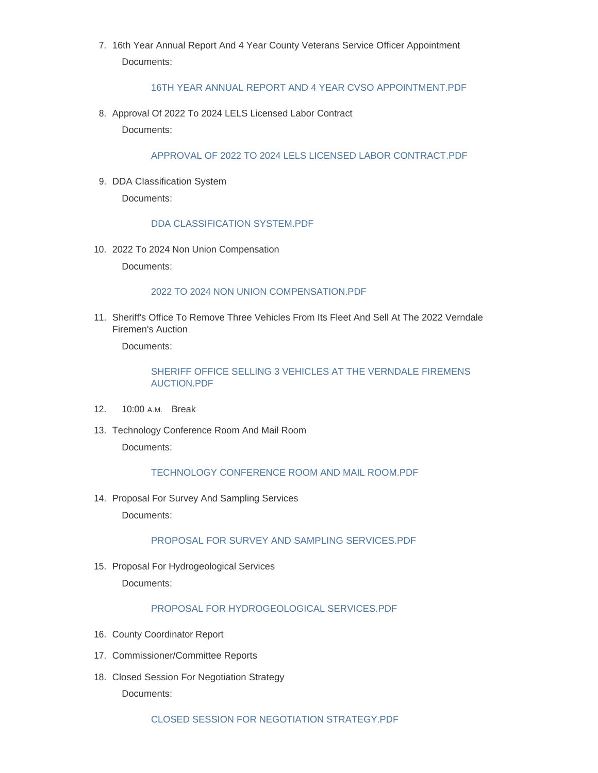7. 16th Year Annual Report And 4 Year County Veterans Service Officer Appointment Documents:

#### [16TH YEAR ANNUAL REPORT AND 4 YEAR CVSO APPOINTMENT.PDF](http://mn-wadenacounty.civicplus.com/AgendaCenter/ViewFile/Item/4929?fileID=7193)

8. Approval Of 2022 To 2024 LELS Licensed Labor Contract Documents:

## [APPROVAL OF 2022 TO 2024 LELS LICENSED LABOR CONTRACT.PDF](http://mn-wadenacounty.civicplus.com/AgendaCenter/ViewFile/Item/4940?fileID=7211)

9. DDA Classification System

Documents:

## [DDA CLASSIFICATION SYSTEM.PDF](http://mn-wadenacounty.civicplus.com/AgendaCenter/ViewFile/Item/4937?fileID=7209)

2022 To 2024 Non Union Compensation 10.

Documents:

### [2022 TO 2024 NON UNION COMPENSATION.PDF](http://mn-wadenacounty.civicplus.com/AgendaCenter/ViewFile/Item/4938?fileID=7210)

11. Sheriff's Office To Remove Three Vehicles From Its Fleet And Sell At The 2022 Verndale Firemen's Auction

Documents:

## [SHERIFF OFFICE SELLING 3 VEHICLES AT THE VERNDALE FIREMENS](http://mn-wadenacounty.civicplus.com/AgendaCenter/ViewFile/Item/4930?fileID=7208)  AUCTION.PDF

- 12. 10:00 A.M. Break
- 13. Technology Conference Room And Mail Room Documents:

# [TECHNOLOGY CONFERENCE ROOM AND MAIL ROOM.PDF](http://mn-wadenacounty.civicplus.com/AgendaCenter/ViewFile/Item/4935?fileID=7206)

14. Proposal For Survey And Sampling Services Documents:

# [PROPOSAL FOR SURVEY AND SAMPLING SERVICES.PDF](http://mn-wadenacounty.civicplus.com/AgendaCenter/ViewFile/Item/4932?fileID=7204)

15. Proposal For Hydrogeological Services Documents:

# [PROPOSAL FOR HYDROGEOLOGICAL SERVICES.PDF](http://mn-wadenacounty.civicplus.com/AgendaCenter/ViewFile/Item/4934?fileID=7205)

- 16. County Coordinator Report
- 17. Commissioner/Committee Reports
- 18. Closed Session For Negotiation Strategy

Documents: